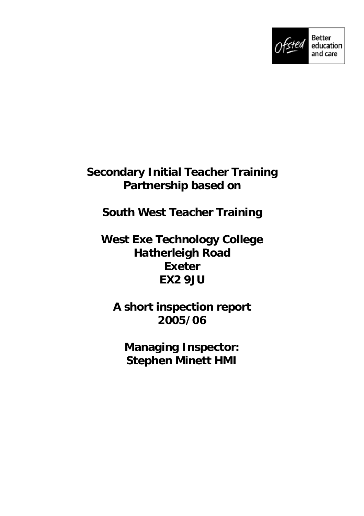

## **Secondary Initial Teacher Training Partnership based on**

# **South West Teacher Training**

## **West Exe Technology College Hatherleigh Road Exeter EX2 9JU**

## **A short inspection report 2005/06**

**Managing Inspector: Stephen Minett HMI**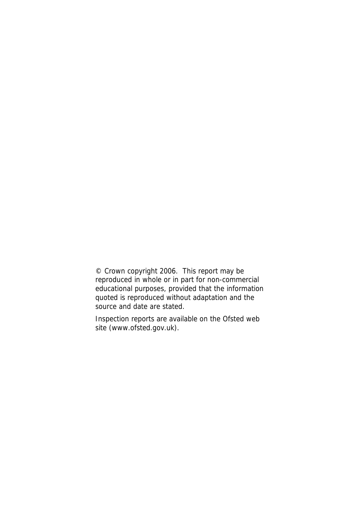© Crown copyright 2006. This report may be reproduced in whole or in part for non-commercial educational purposes, provided that the information quoted is reproduced without adaptation and the source and date are stated.

Inspection reports are available on the Ofsted web site (www.ofsted.gov.uk).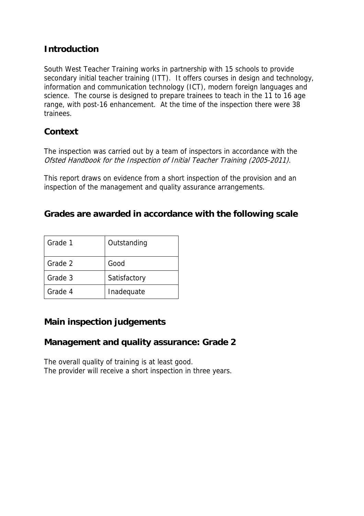### **Introduction**

South West Teacher Training works in partnership with 15 schools to provide secondary initial teacher training (ITT). It offers courses in design and technology, information and communication technology (ICT), modern foreign languages and science. The course is designed to prepare trainees to teach in the 11 to 16 age range, with post-16 enhancement. At the time of the inspection there were 38 trainees.

### **Context**

The inspection was carried out by a team of inspectors in accordance with the Ofsted Handbook for the Inspection of Initial Teacher Training (2005-2011).

This report draws on evidence from a short inspection of the provision and an inspection of the management and quality assurance arrangements.

#### **Grades are awarded in accordance with the following scale**

| Grade 1 | Outstanding  |
|---------|--------------|
| Grade 2 | Good         |
| Grade 3 | Satisfactory |
| Grade 4 | Inadequate   |

## **Main inspection judgements**

#### **Management and quality assurance: Grade 2**

The overall quality of training is at least good. The provider will receive a short inspection in three years.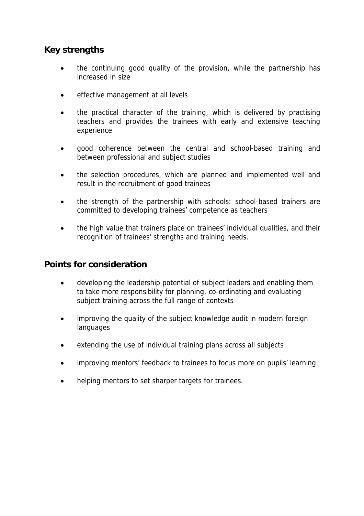### **Key strengths**

- the continuing good quality of the provision, while the partnership has increased in size
- effective management at all levels
- the practical character of the training, which is delivered by practising teachers and provides the trainees with early and extensive teaching experience
- good coherence between the central and school-based training and between professional and subject studies
- the selection procedures, which are planned and implemented well and result in the recruitment of good trainees
- the strength of the partnership with schools: school-based trainers are committed to developing trainees' competence as teachers
- the high value that trainers place on trainees' individual qualities, and their recognition of trainees' strengths and training needs.

#### **Points for consideration**

- developing the leadership potential of subject leaders and enabling them to take more responsibility for planning, co-ordinating and evaluating subject training across the full range of contexts
- improving the quality of the subject knowledge audit in modern foreign languages
- extending the use of individual training plans across all subjects
- improving mentors' feedback to trainees to focus more on pupils' learning
- helping mentors to set sharper targets for trainees.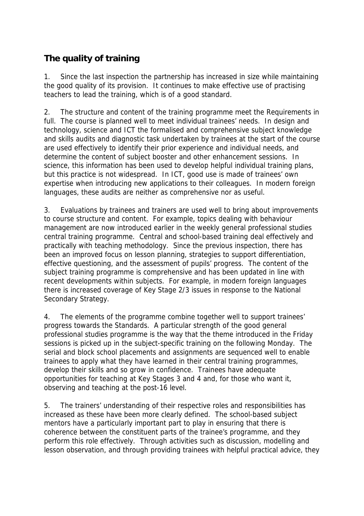## **The quality of training**

1. Since the last inspection the partnership has increased in size while maintaining the good quality of its provision. It continues to make effective use of practising teachers to lead the training, which is of a good standard.

2. The structure and content of the training programme meet the Requirements in full. The course is planned well to meet individual trainees' needs. In design and technology, science and ICT the formalised and comprehensive subject knowledge and skills audits and diagnostic task undertaken by trainees at the start of the course are used effectively to identify their prior experience and individual needs, and determine the content of subject booster and other enhancement sessions. In science, this information has been used to develop helpful individual training plans, but this practice is not widespread. In ICT, good use is made of trainees' own expertise when introducing new applications to their colleagues. In modern foreign languages, these audits are neither as comprehensive nor as useful.

3. Evaluations by trainees and trainers are used well to bring about improvements to course structure and content. For example, topics dealing with behaviour management are now introduced earlier in the weekly general professional studies central training programme. Central and school-based training deal effectively and practically with teaching methodology. Since the previous inspection, there has been an improved focus on lesson planning, strategies to support differentiation, effective questioning, and the assessment of pupils' progress. The content of the subject training programme is comprehensive and has been updated in line with recent developments within subjects. For example, in modern foreign languages there is increased coverage of Key Stage 2/3 issues in response to the National Secondary Strategy.

4. The elements of the programme combine together well to support trainees' progress towards the Standards. A particular strength of the good general professional studies programme is the way that the theme introduced in the Friday sessions is picked up in the subject-specific training on the following Monday. The serial and block school placements and assignments are sequenced well to enable trainees to apply what they have learned in their central training programmes, develop their skills and so grow in confidence. Trainees have adequate opportunities for teaching at Key Stages 3 and 4 and, for those who want it, observing and teaching at the post-16 level.

5. The trainers' understanding of their respective roles and responsibilities has increased as these have been more clearly defined. The school-based subject mentors have a particularly important part to play in ensuring that there is coherence between the constituent parts of the trainee's programme, and they perform this role effectively. Through activities such as discussion, modelling and lesson observation, and through providing trainees with helpful practical advice, they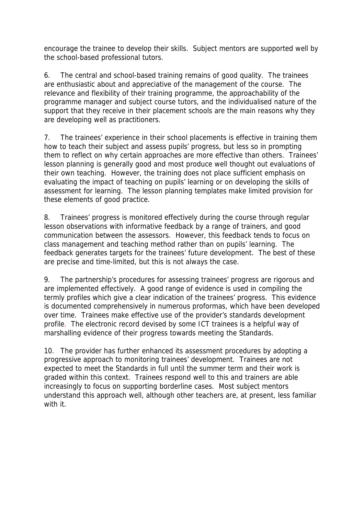encourage the trainee to develop their skills. Subject mentors are supported well by the school-based professional tutors.

6. The central and school-based training remains of good quality. The trainees are enthusiastic about and appreciative of the management of the course. The relevance and flexibility of their training programme, the approachability of the programme manager and subject course tutors, and the individualised nature of the support that they receive in their placement schools are the main reasons why they are developing well as practitioners.

7. The trainees' experience in their school placements is effective in training them how to teach their subject and assess pupils' progress, but less so in prompting them to reflect on why certain approaches are more effective than others. Trainees' lesson planning is generally good and most produce well thought out evaluations of their own teaching. However, the training does not place sufficient emphasis on evaluating the impact of teaching on pupils' learning or on developing the skills of assessment for learning. The lesson planning templates make limited provision for these elements of good practice.

8. Trainees' progress is monitored effectively during the course through regular lesson observations with informative feedback by a range of trainers, and good communication between the assessors. However, this feedback tends to focus on class management and teaching method rather than on pupils' learning. The feedback generates targets for the trainees' future development. The best of these are precise and time-limited, but this is not always the case.

9. The partnership's procedures for assessing trainees' progress are rigorous and are implemented effectively. A good range of evidence is used in compiling the termly profiles which give a clear indication of the trainees' progress. This evidence is documented comprehensively in numerous proformas, which have been developed over time. Trainees make effective use of the provider's standards development profile. The electronic record devised by some ICT trainees is a helpful way of marshalling evidence of their progress towards meeting the Standards.

10. The provider has further enhanced its assessment procedures by adopting a progressive approach to monitoring trainees' development. Trainees are not expected to meet the Standards in full until the summer term and their work is graded within this context. Trainees respond well to this and trainers are able increasingly to focus on supporting borderline cases. Most subject mentors understand this approach well, although other teachers are, at present, less familiar with it.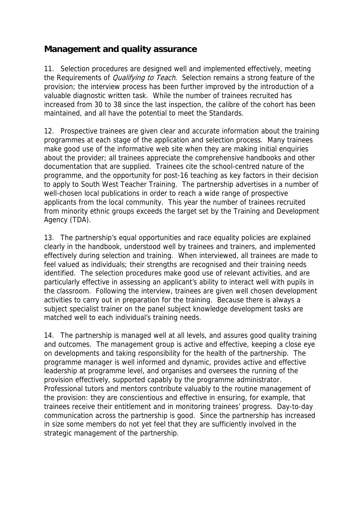### **Management and quality assurance**

11. Selection procedures are designed well and implemented effectively, meeting the Requirements of *Qualifying to Teach*. Selection remains a strong feature of the provision; the interview process has been further improved by the introduction of a valuable diagnostic written task. While the number of trainees recruited has increased from 30 to 38 since the last inspection, the calibre of the cohort has been maintained, and all have the potential to meet the Standards.

12. Prospective trainees are given clear and accurate information about the training programmes at each stage of the application and selection process. Many trainees make good use of the informative web site when they are making initial enquiries about the provider; all trainees appreciate the comprehensive handbooks and other documentation that are supplied. Trainees cite the school-centred nature of the programme, and the opportunity for post-16 teaching as key factors in their decision to apply to South West Teacher Training. The partnership advertises in a number of well-chosen local publications in order to reach a wide range of prospective applicants from the local community. This year the number of trainees recruited from minority ethnic groups exceeds the target set by the Training and Development Agency (TDA).

13. The partnership's equal opportunities and race equality policies are explained clearly in the handbook, understood well by trainees and trainers, and implemented effectively during selection and training. When interviewed, all trainees are made to feel valued as individuals; their strengths are recognised and their training needs identified. The selection procedures make good use of relevant activities, and are particularly effective in assessing an applicant's ability to interact well with pupils in the classroom. Following the interview, trainees are given well chosen development activities to carry out in preparation for the training. Because there is always a subject specialist trainer on the panel subject knowledge development tasks are matched well to each individual's training needs.

14. The partnership is managed well at all levels, and assures good quality training and outcomes. The management group is active and effective, keeping a close eye on developments and taking responsibility for the health of the partnership. The programme manager is well informed and dynamic, provides active and effective leadership at programme level, and organises and oversees the running of the provision effectively, supported capably by the programme administrator. Professional tutors and mentors contribute valuably to the routine management of the provision: they are conscientious and effective in ensuring, for example, that trainees receive their entitlement and in monitoring trainees' progress. Day-to-day communication across the partnership is good. Since the partnership has increased in size some members do not yet feel that they are sufficiently involved in the strategic management of the partnership.